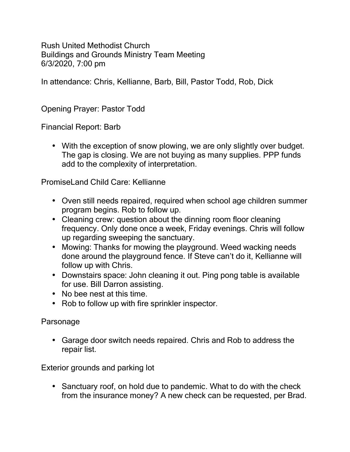Rush United Methodist Church Buildings and Grounds Ministry Team Meeting 6/3/2020, 7:00 pm

In attendance: Chris, Kellianne, Barb, Bill, Pastor Todd, Rob, Dick

Opening Prayer: Pastor Todd

Financial Report: Barb

 With the exception of snow plowing, we are only slightly over budget. The gap is closing. We are not buying as many supplies. PPP funds add to the complexity of interpretation.

PromiseLand Child Care: Kellianne

- Oven still needs repaired, required when school age children summer program begins. Rob to follow up.
- Cleaning crew: question about the dinning room floor cleaning frequency. Only done once a week, Friday evenings. Chris will follow up regarding sweeping the sanctuary.
- Mowing: Thanks for mowing the playground. Weed wacking needs done around the playground fence. If Steve can't do it, Kellianne will follow up with Chris.
- Downstairs space: John cleaning it out. Ping pong table is available for use. Bill Darron assisting.
- No bee nest at this time.
- $\bigcup$  Rob to follow up with fire sprinkler inspector.

Parsonage

 Garage door switch needs repaired. Chris and Rob to address the repair list.

Exterior grounds and parking lot

 Sanctuary roof, on hold due to pandemic. What to do with the check from the insurance money? A new check can be requested, per Brad.